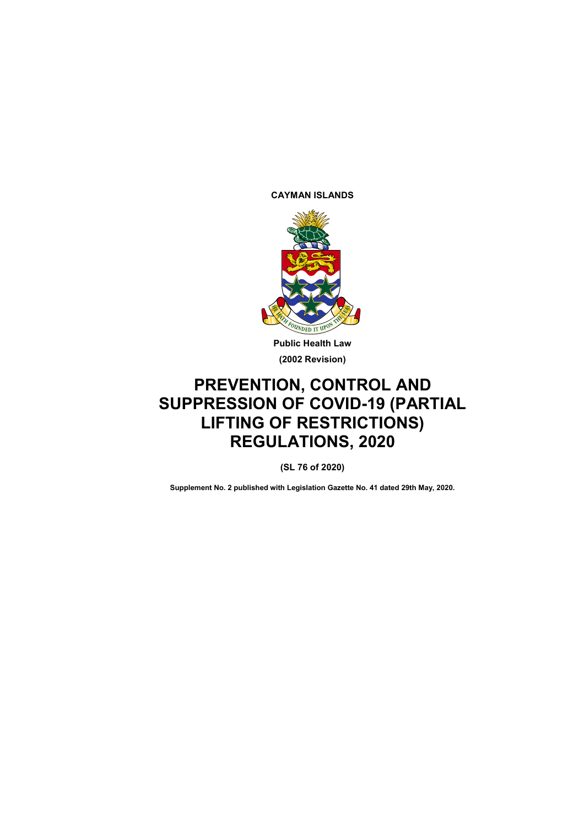**CAYMAN ISLANDS**



**Public Health Law (2002 Revision)**

# **PREVENTION, CONTROL AND SUPPRESSION OF COVID-19 (PARTIAL LIFTING OF RESTRICTIONS) REGULATIONS, 2020**

**(SL 76 of 2020)**

**Supplement No. 2 published with Legislation Gazette No. 41 dated 29th May, 2020.**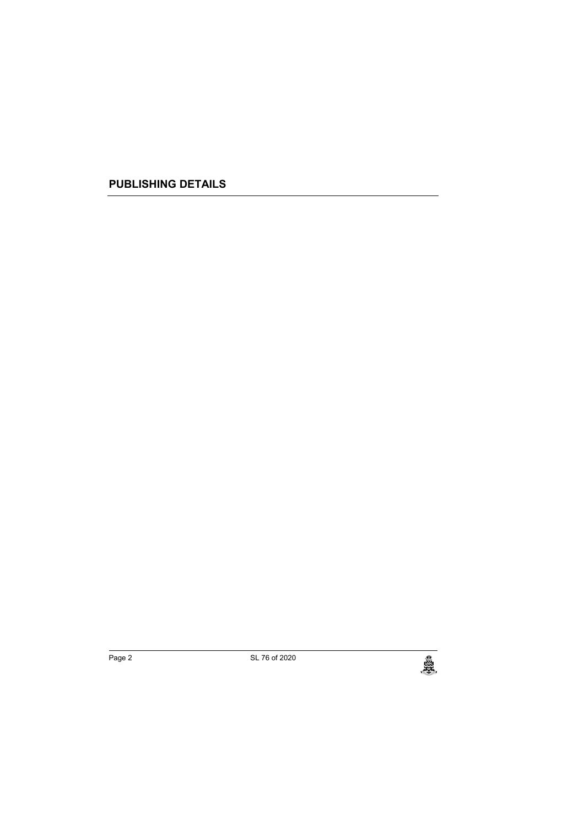**PUBLISHING DETAILS**

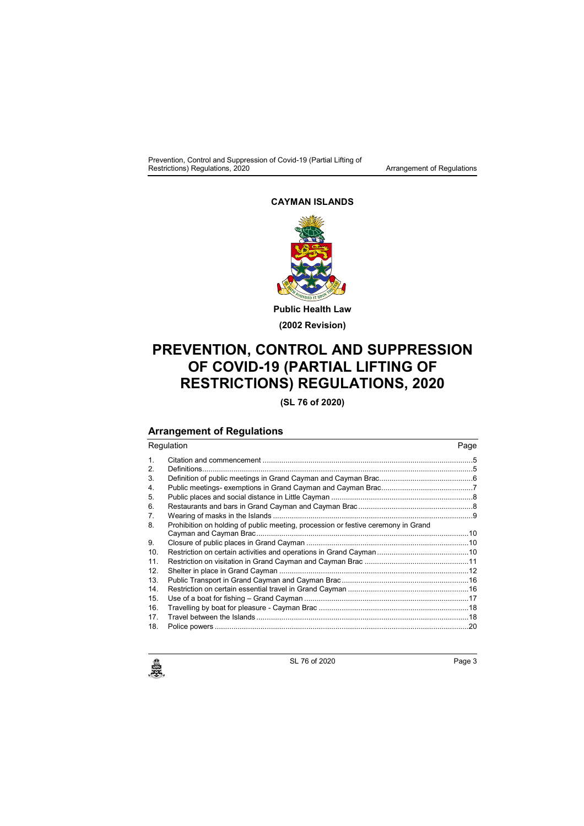#### **CAYMAN ISLANDS**



# **PREVENTION, CONTROL AND SUPPRESSION OF COVID-19 (PARTIAL LIFTING OF RESTRICTIONS) REGULATIONS, 2020**

**(SL 76 of 2020)**

## **Arrangement of Regulations**

Regulation **Page** 1. Citation and commencement .....................................................................................................5 2. Definitions..................................................................................................................................5 3. Definition of public meetings in Grand Cayman and Cayman Brac.............................................6 4. Public meetings- exemptions in Grand Cayman and Cayman Brac............................................7 5. Public places and social distance in Little Cayman ....................................................................8 6. Restaurants and bars in Grand Cayman and Cayman Brac .......................................................8 7. Wearing of masks in the Islands ................................................................................................9 8. Prohibition on holding of public meeting, procession or festive ceremony in Grand Cayman and Cayman Brac......................................................................................................10 9. Closure of public places in Grand Cayman ..............................................................................10 10. Restriction on certain activities and operations in Grand Cayman............................................10 11. Restriction on visitation in Grand Cayman and Cayman Brac ..................................................11 12. Shelter in place in Grand Cayman ...........................................................................................12 13. Public Transport in Grand Cayman and Cayman Brac .............................................................16 14. Restriction on certain essential travel in Grand Cayman ..........................................................16 15. Use of a boat for fishing – Grand Cayman ...............................................................................17 16. Travelling by boat for pleasure - Cayman Brac ........................................................................18 17. Travel between the Islands ......................................................................................................18 18. Police powers ..........................................................................................................................20



SL 76 of 2020 Page 3<br>Page 3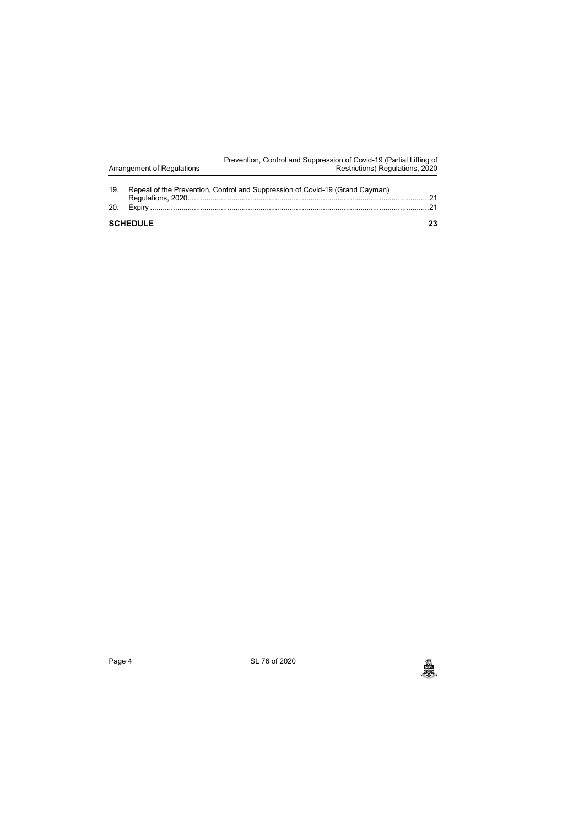| Arrangement of Regulations |  | Prevention, Control and Suppression of Covid-19 (Partial Lifting of<br>Restrictions) Regulations, 2020 |    |  |
|----------------------------|--|--------------------------------------------------------------------------------------------------------|----|--|
| 19.                        |  | Repeal of the Prevention, Control and Suppression of Covid-19 (Grand Cayman)                           | 21 |  |
| 20.                        |  |                                                                                                        |    |  |
| <b>SCHEDULE</b>            |  |                                                                                                        |    |  |

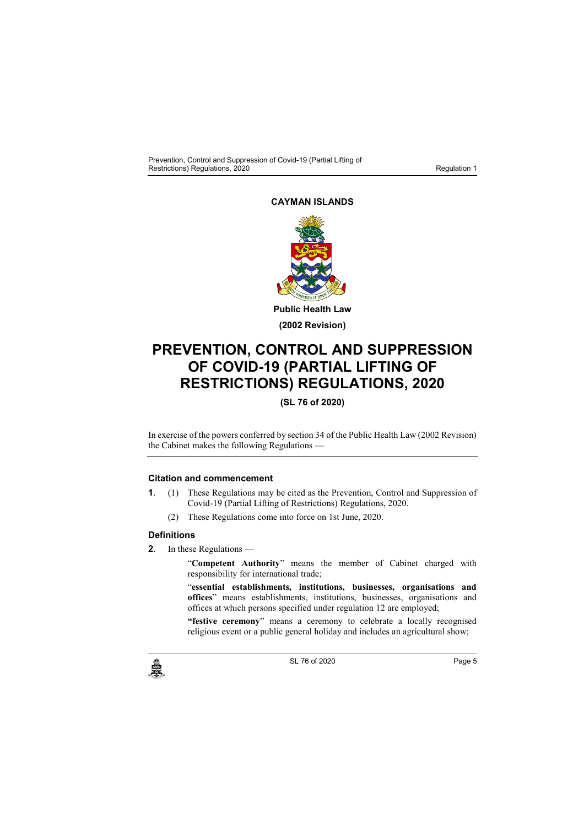## **CAYMAN ISLANDS**



# **PREVENTION, CONTROL AND SUPPRESSION OF COVID-19 (PARTIAL LIFTING OF RESTRICTIONS) REGULATIONS, 2020**

## **(SL 76 of 2020)**

In exercise of the powers conferred by section 34 of the Public Health Law (2002 Revision) the Cabinet makes the following Regulations —

## **1. Citation and commencement**

- **1**. (1) These Regulations may be cited as the Prevention, Control and Suppression of Covid-19 (Partial Lifting of Restrictions) Regulations, 2020.
	- (2) These Regulations come into force on 1st June, 2020.

#### **2. Definitions**

**2**. In these Regulations —

"**Competent Authority**" means the member of Cabinet charged with responsibility for international trade;

"**essential establishments, institutions, businesses, organisations and offices**" means establishments, institutions, businesses, organisations and offices at which persons specified under regulation 12 are employed;

**"festive ceremony**" means a ceremony to celebrate a locally recognised religious event or a public general holiday and includes an agricultural show;

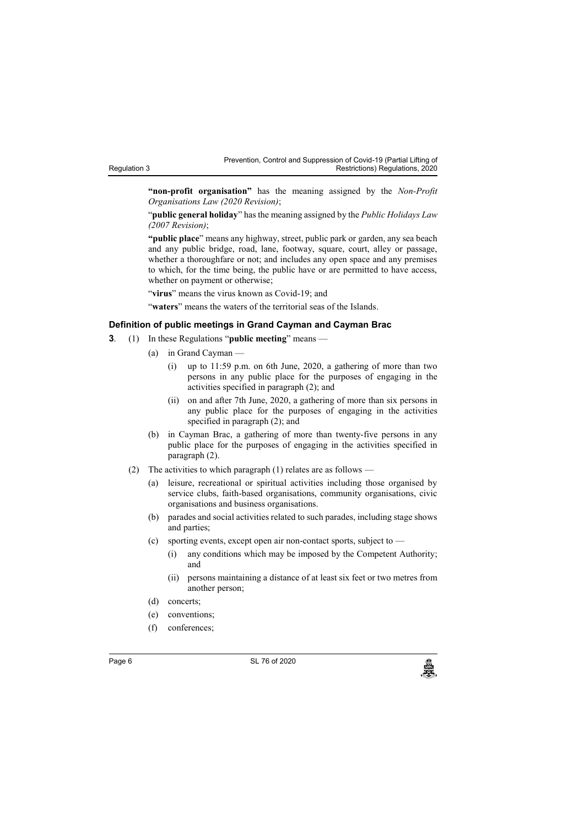Regulation 3

Prevention, Control and Suppression of Covid-19 (Partial Lifting of Restrictions) Regulations, 2020

**"non-profit organisation"** has the meaning assigned by the *Non-Profit Organisations Law (2020 Revision)*;

"**public general holiday**" has the meaning assigned by the *Public Holidays Law (2007 Revision)*;

**"public place**" means any highway, street, public park or garden, any sea beach and any public bridge, road, lane, footway, square, court, alley or passage, whether a thoroughfare or not; and includes any open space and any premises to which, for the time being, the public have or are permitted to have access, whether on payment or otherwise;

"virus" means the virus known as Covid-19; and

"**waters**" means the waters of the territorial seas of the Islands.

#### **3. Definition of public meetings in Grand Cayman and Cayman Brac**

- **3**. (1) In these Regulations "**public meeting**" means
	- (a) in Grand Cayman
		- (i) up to 11:59 p.m. on 6th June, 2020, a gathering of more than two persons in any public place for the purposes of engaging in the activities specified in paragraph (2); and
		- (ii) on and after 7th June, 2020, a gathering of more than six persons in any public place for the purposes of engaging in the activities specified in paragraph (2); and
	- (b) in Cayman Brac, a gathering of more than twenty-five persons in any public place for the purposes of engaging in the activities specified in paragraph (2).
	- (2) The activities to which paragraph (1) relates are as follows
		- (a) leisure, recreational or spiritual activities including those organised by service clubs, faith-based organisations, community organisations, civic organisations and business organisations.
		- (b) parades and social activities related to such parades, including stage shows and parties;
		- (c) sporting events, except open air non-contact sports, subject to
			- (i) any conditions which may be imposed by the Competent Authority; and
			- (ii) persons maintaining a distance of at least six feet or two metres from another person;
		- (d) concerts;
		- (e) conventions;
		- (f) conferences;

Page 6 SL 76 of 2020<br>المجلس المستخدم المستخدم المستخدم المستخدم المستخدم المستخدم المستخدم المستخدم المستخدم المستخدم المستخدم المس<br>والمستخدم المستخدم المستخدم المستخدم المستخدم المستخدم المستخدم المستخدم المستخدم المستخد

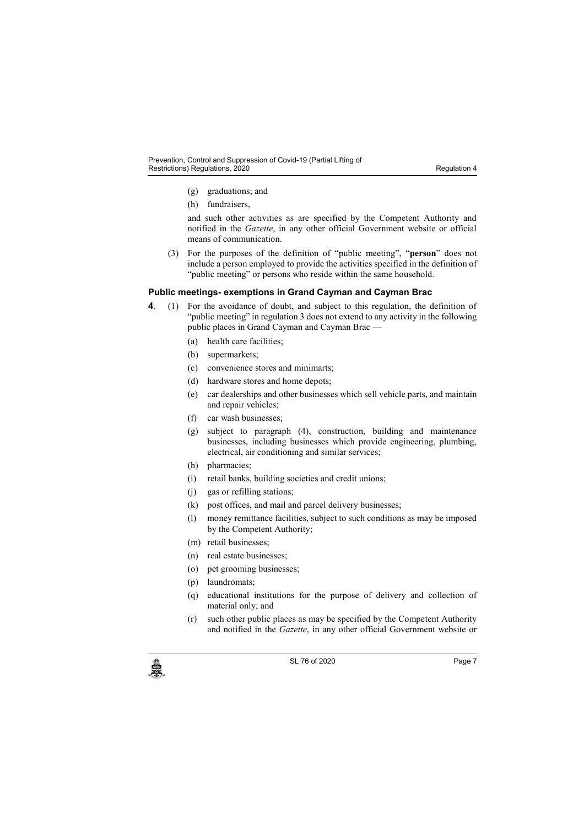- (g) graduations; and
- (h) fundraisers,

and such other activities as are specified by the Competent Authority and notified in the *Gazette*, in any other official Government website or official means of communication.

(3) For the purposes of the definition of "public meeting", "**person**" does not include a person employed to provide the activities specified in the definition of "public meeting" or persons who reside within the same household.

#### **4. Public meetings- exemptions in Grand Cayman and Cayman Brac**

**4**. (1) For the avoidance of doubt, and subject to this regulation, the definition of "public meeting" in regulation 3 does not extend to any activity in the following public places in Grand Cayman and Cayman Brac —

(a) health care facilities;

- (b) supermarkets;
- (c) convenience stores and minimarts;
- (d) hardware stores and home depots;
- (e) car dealerships and other businesses which sell vehicle parts, and maintain and repair vehicles;
- (f) car wash businesses;
- (g) subject to paragraph (4), construction, building and maintenance businesses, including businesses which provide engineering, plumbing, electrical, air conditioning and similar services;
- (h) pharmacies;
- (i) retail banks, building societies and credit unions;
- (j) gas or refilling stations;
- (k) post offices, and mail and parcel delivery businesses;
- (l) money remittance facilities, subject to such conditions as may be imposed by the Competent Authority;
- (m) retail businesses;
- (n) real estate businesses;
- (o) pet grooming businesses;
- (p) laundromats;
- (q) educational institutions for the purpose of delivery and collection of material only; and
- (r) such other public places as may be specified by the Competent Authority and notified in the *Gazette*, in any other official Government website or



c SL 76 of 2020<br>
SL 76 of 2020<br>
Page 7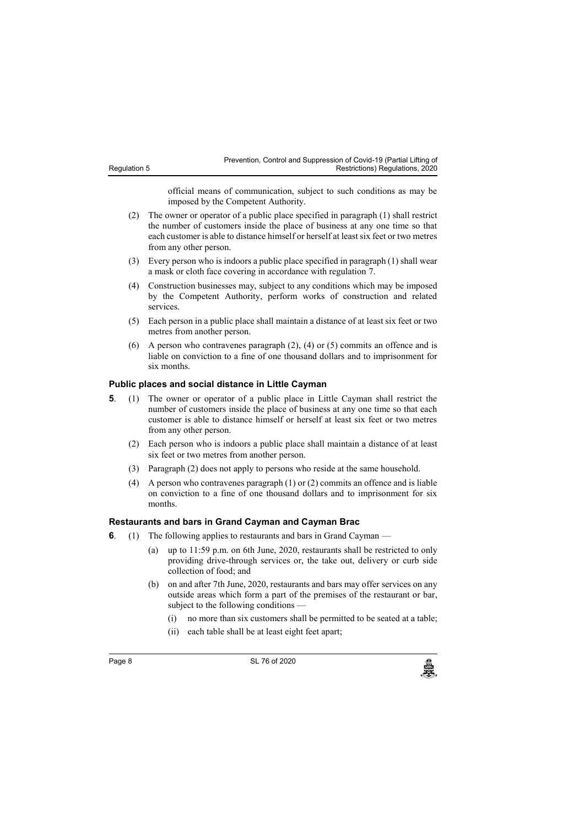| Prevention, Control and Suppression of Covid-19 (Partial Lifting of |                                 |  |
|---------------------------------------------------------------------|---------------------------------|--|
|                                                                     | Restrictions) Regulations, 2020 |  |

official means of communication, subject to such conditions as may be imposed by the Competent Authority.

- (2) The owner or operator of a public place specified in paragraph (1) shall restrict the number of customers inside the place of business at any one time so that each customer is able to distance himself or herself at least six feet or two metres from any other person.
- (3) Every person who is indoors a public place specified in paragraph (1) shall wear a mask or cloth face covering in accordance with regulation 7.
- (4) Construction businesses may, subject to any conditions which may be imposed by the Competent Authority, perform works of construction and related services.
- (5) Each person in a public place shall maintain a distance of at least six feet or two metres from another person.
- (6) A person who contravenes paragraph (2), (4) or (5) commits an offence and is liable on conviction to a fine of one thousand dollars and to imprisonment for six months.

#### **5. Public places and social distance in Little Cayman**

- **5**. (1) The owner or operator of a public place in Little Cayman shall restrict the number of customers inside the place of business at any one time so that each customer is able to distance himself or herself at least six feet or two metres from any other person.
	- (2) Each person who is indoors a public place shall maintain a distance of at least six feet or two metres from another person.
	- (3) Paragraph (2) does not apply to persons who reside at the same household.
	- (4) A person who contravenes paragraph (1) or (2) commits an offence and is liable on conviction to a fine of one thousand dollars and to imprisonment for six months.

#### **6. Restaurants and bars in Grand Cayman and Cayman Brac**

- **6**. (1) The following applies to restaurants and bars in Grand Cayman
	- (a) up to 11:59 p.m. on 6th June, 2020, restaurants shall be restricted to only providing drive-through services or, the take out, delivery or curb side collection of food; and
	- (b) on and after 7th June, 2020, restaurants and bars may offer services on any outside areas which form a part of the premises of the restaurant or bar, subject to the following conditions
		- (i) no more than six customers shall be permitted to be seated at a table;
		- (ii) each table shall be at least eight feet apart;

Regulation 5

Page 8 **SL 76 of 2020**<br>SL 76 of 2020<br>منابع المسلمات المسلمات المسلمات المسلمات المسلمات المسلمات المسلمات المسلمات المسلمات المسلمات المسلمات المسلم

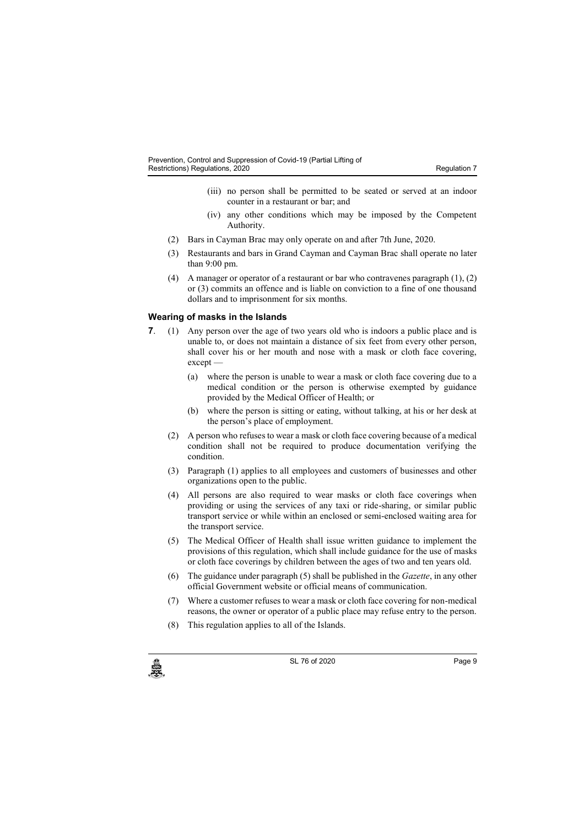- (iii) no person shall be permitted to be seated or served at an indoor counter in a restaurant or bar; and
- (iv) any other conditions which may be imposed by the Competent Authority.
- (2) Bars in Cayman Brac may only operate on and after 7th June, 2020.
- (3) Restaurants and bars in Grand Cayman and Cayman Brac shall operate no later than 9:00 pm.
- (4) A manager or operator of a restaurant or bar who contravenes paragraph (1), (2) or (3) commits an offence and is liable on conviction to a fine of one thousand dollars and to imprisonment for six months.

#### **7. Wearing of masks in the Islands**

- **7.** (1) Any person over the age of two years old who is indoors a public place and is unable to, or does not maintain a distance of six feet from every other person, shall cover his or her mouth and nose with a mask or cloth face covering, except —
	- (a) where the person is unable to wear a mask or cloth face covering due to a medical condition or the person is otherwise exempted by guidance provided by the Medical Officer of Health; or
	- (b) where the person is sitting or eating, without talking, at his or her desk at the person's place of employment.
	- (2) A person who refusesto wear a mask or cloth face covering because of a medical condition shall not be required to produce documentation verifying the condition.
	- (3) Paragraph (1) applies to all employees and customers of businesses and other organizations open to the public.
	- (4) All persons are also required to wear masks or cloth face coverings when providing or using the services of any taxi or ride-sharing, or similar public transport service or while within an enclosed or semi-enclosed waiting area for the transport service.
	- (5) The Medical Officer of Health shall issue written guidance to implement the provisions of this regulation, which shall include guidance for the use of masks or cloth face coverings by children between the ages of two and ten years old.
	- (6) The guidance under paragraph (5) shall be published in the *Gazette*, in any other official Government website or official means of communication.
	- (7) Where a customer refuses to wear a mask or cloth face covering for non-medical reasons, the owner or operator of a public place may refuse entry to the person.
	- (8) This regulation applies to all of the Islands.

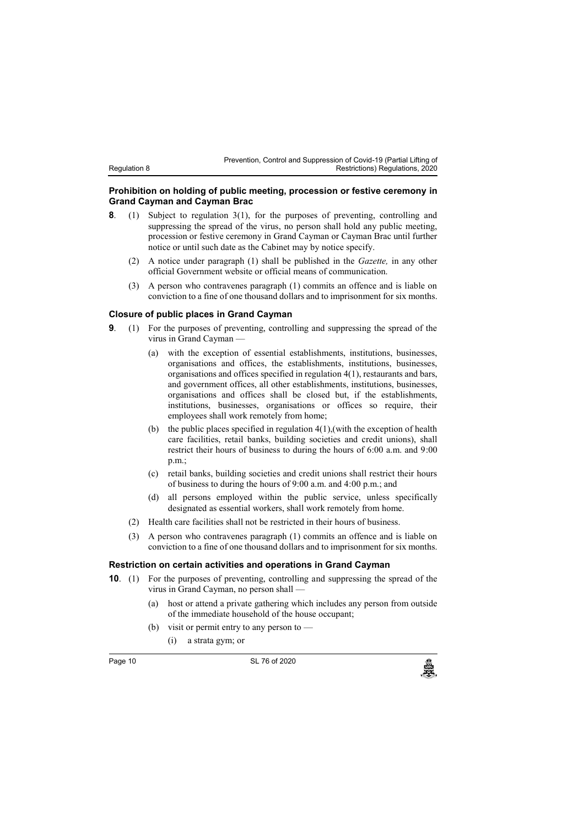| Prevention, Control and Suppression of Covid-19 (Partial Lifting of |  |                                 |  |
|---------------------------------------------------------------------|--|---------------------------------|--|
|                                                                     |  | Restrictions) Regulations, 2020 |  |

#### **8. Prohibition on holding of public meeting, procession or festive ceremony in Grand Cayman and Cayman Brac**

- **8**. (1) Subject to regulation 3(1), for the purposes of preventing, controlling and suppressing the spread of the virus, no person shall hold any public meeting, procession or festive ceremony in Grand Cayman or Cayman Brac until further notice or until such date as the Cabinet may by notice specify.
	- (2) A notice under paragraph (1) shall be published in the *Gazette,* in any other official Government website or official means of communication.
	- (3) A person who contravenes paragraph (1) commits an offence and is liable on conviction to a fine of one thousand dollars and to imprisonment for six months.

#### **9. Closure of public places in Grand Cayman**

Regulation 8

- **9**. (1) For the purposes of preventing, controlling and suppressing the spread of the virus in Grand Cayman —
	- (a) with the exception of essential establishments, institutions, businesses, organisations and offices, the establishments, institutions, businesses, organisations and offices specified in regulation 4(1), restaurants and bars, and government offices, all other establishments, institutions, businesses, organisations and offices shall be closed but, if the establishments, institutions, businesses, organisations or offices so require, their employees shall work remotely from home;
	- (b) the public places specified in regulation 4(1),(with the exception of health care facilities, retail banks, building societies and credit unions), shall restrict their hours of business to during the hours of 6:00 a.m. and 9:00 p.m.;
	- (c) retail banks, building societies and credit unions shall restrict their hours of business to during the hours of 9:00 a.m. and 4:00 p.m.; and
	- (d) all persons employed within the public service, unless specifically designated as essential workers, shall work remotely from home.
	- (2) Health care facilities shall not be restricted in their hours of business.
	- (3) A person who contravenes paragraph (1) commits an offence and is liable on conviction to a fine of one thousand dollars and to imprisonment for six months.

#### **10. Restriction on certain activities and operations in Grand Cayman**

- **10**. (1) For the purposes of preventing, controlling and suppressing the spread of the virus in Grand Cayman, no person shall —
	- (a) host or attend a private gathering which includes any person from outside of the immediate household of the house occupant;
	- (b) visit or permit entry to any person to -
		- (i) a strata gym; or

Page 10 SL 76 of 2020<br>المجلس المستخدم المستخدم المستخدم المستخدم المستخدم المستخدم المستخدم المستخدم المستخدم المستخدم المستخدم المس<br>والمستخدم المستخدم المستخدم المستخدم المستخدم المستخدم المستخدم المستخدم المستخدم المستخ

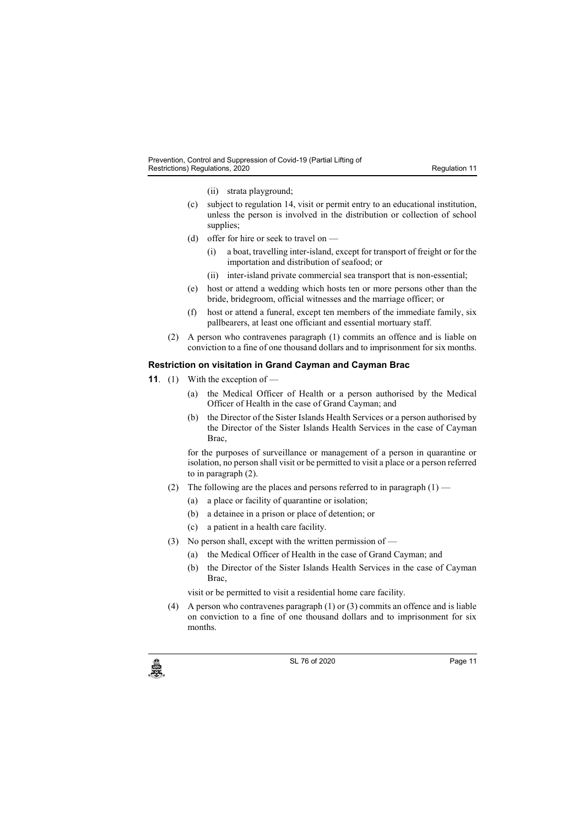- (ii) strata playground;
- (c) subject to regulation 14, visit or permit entry to an educational institution, unless the person is involved in the distribution or collection of school supplies;
- (d) offer for hire or seek to travel on
	- (i) a boat, travelling inter-island, except for transport of freight or for the importation and distribution of seafood; or
	- (ii) inter-island private commercial sea transport that is non-essential;
- (e) host or attend a wedding which hosts ten or more persons other than the bride, bridegroom, official witnesses and the marriage officer; or
- (f) host or attend a funeral, except ten members of the immediate family, six pallbearers, at least one officiant and essential mortuary staff.
- (2) A person who contravenes paragraph (1) commits an offence and is liable on conviction to a fine of one thousand dollars and to imprisonment for six months.

#### **11. Restriction on visitation in Grand Cayman and Cayman Brac**

- **11**. (1) With the exception of
	- (a) the Medical Officer of Health or a person authorised by the Medical Officer of Health in the case of Grand Cayman; and
	- (b) the Director of the Sister Islands Health Services or a person authorised by the Director of the Sister Islands Health Services in the case of Cayman Brac,

for the purposes of surveillance or management of a person in quarantine or isolation, no person shall visit or be permitted to visit a place or a person referred to in paragraph (2).

- (2) The following are the places and persons referred to in paragraph  $(1)$ 
	- (a) a place or facility of quarantine or isolation;
	- (b) a detainee in a prison or place of detention; or
	- (c) a patient in a health care facility.
- (3) No person shall, except with the written permission of
	- (a) the Medical Officer of Health in the case of Grand Cayman; and
	- (b) the Director of the Sister Islands Health Services in the case of Cayman Brac,

visit or be permitted to visit a residential home care facility.

(4) A person who contravenes paragraph (1) or (3) commits an offence and is liable on conviction to a fine of one thousand dollars and to imprisonment for six months.



c SL 76 of 2020<br>
SL 76 of 2020<br>
Page 11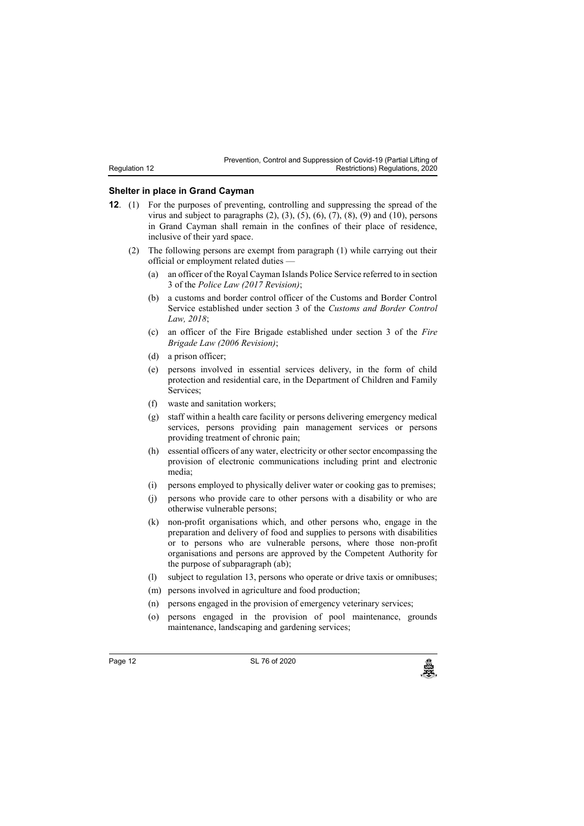#### **12. Shelter in place in Grand Cayman**

Regulation 12

- **12**. (1) For the purposes of preventing, controlling and suppressing the spread of the virus and subject to paragraphs  $(2)$ ,  $(3)$ ,  $(5)$ ,  $(6)$ ,  $(7)$ ,  $(8)$ ,  $(9)$  and  $(10)$ , persons in Grand Cayman shall remain in the confines of their place of residence, inclusive of their yard space.
	- (2) The following persons are exempt from paragraph (1) while carrying out their official or employment related duties —
		- (a) an officer of the Royal Cayman Islands Police Service referred to in section 3 of the *Police Law (2017 Revision)*;
		- (b) a customs and border control officer of the Customs and Border Control Service established under section 3 of the *Customs and Border Control Law, 2018*;
		- (c) an officer of the Fire Brigade established under section 3 of the *Fire Brigade Law (2006 Revision)*;
		- (d) a prison officer;
		- (e) persons involved in essential services delivery, in the form of child protection and residential care, in the Department of Children and Family Services;
		- (f) waste and sanitation workers;
		- (g) staff within a health care facility or persons delivering emergency medical services, persons providing pain management services or persons providing treatment of chronic pain;
		- (h) essential officers of any water, electricity or other sector encompassing the provision of electronic communications including print and electronic media;
		- (i) persons employed to physically deliver water or cooking gas to premises;
		- (j) persons who provide care to other persons with a disability or who are otherwise vulnerable persons;
		- (k) non-profit organisations which, and other persons who, engage in the preparation and delivery of food and supplies to persons with disabilities or to persons who are vulnerable persons, where those non-profit organisations and persons are approved by the Competent Authority for the purpose of subparagraph (ab);
		- (l) subject to regulation 13, persons who operate or drive taxis or omnibuses;
		- (m) persons involved in agriculture and food production;
		- (n) persons engaged in the provision of emergency veterinary services;
		- (o) persons engaged in the provision of pool maintenance, grounds maintenance, landscaping and gardening services;

Page 12 SL 76 of 2020<br>المجلس المستخدم المستخدم المستخدم المستخدم المستخدم المستخدم المستخدم المستخدم المستخدم المستخدم المستخدم المس<br>والمستخدم المستخدم المستخدم المستخدم المستخدم المستخدم المستخدم المستخدم المستخدم المستخ

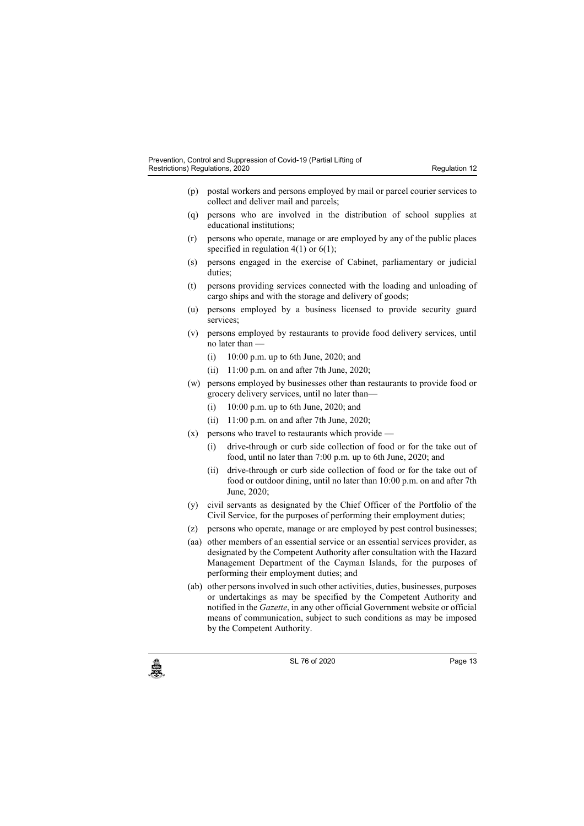- (p) postal workers and persons employed by mail or parcel courier services to collect and deliver mail and parcels;
- (q) persons who are involved in the distribution of school supplies at educational institutions;
- (r) persons who operate, manage or are employed by any of the public places specified in regulation  $4(1)$  or  $6(1)$ ;
- (s) persons engaged in the exercise of Cabinet, parliamentary or judicial duties;
- (t) persons providing services connected with the loading and unloading of cargo ships and with the storage and delivery of goods;
- (u) persons employed by a business licensed to provide security guard services:
- (v) persons employed by restaurants to provide food delivery services, until no later than —
	- (i) 10:00 p.m. up to 6th June, 2020; and
	- (ii) 11:00 p.m. on and after 7th June, 2020;
- (w) persons employed by businesses other than restaurants to provide food or grocery delivery services, until no later than—
	- (i) 10:00 p.m. up to 6th June, 2020; and
	- (ii) 11:00 p.m. on and after 7th June, 2020;
- (x) persons who travel to restaurants which provide
	- (i) drive-through or curb side collection of food or for the take out of food, until no later than 7:00 p.m. up to 6th June, 2020; and
	- (ii) drive-through or curb side collection of food or for the take out of food or outdoor dining, until no later than 10:00 p.m. on and after 7th June, 2020;
- (y) civil servants as designated by the Chief Officer of the Portfolio of the Civil Service, for the purposes of performing their employment duties;
- (z) persons who operate, manage or are employed by pest control businesses;
- (aa) other members of an essential service or an essential services provider, as designated by the Competent Authority after consultation with the Hazard Management Department of the Cayman Islands, for the purposes of performing their employment duties; and
- (ab) other persons involved in such other activities, duties, businesses, purposes or undertakings as may be specified by the Competent Authority and notified in the *Gazette*, in any other official Government website or official means of communication, subject to such conditions as may be imposed by the Competent Authority.



c SL 76 of 2020<br>
SL 76 of 2020<br>
Page 13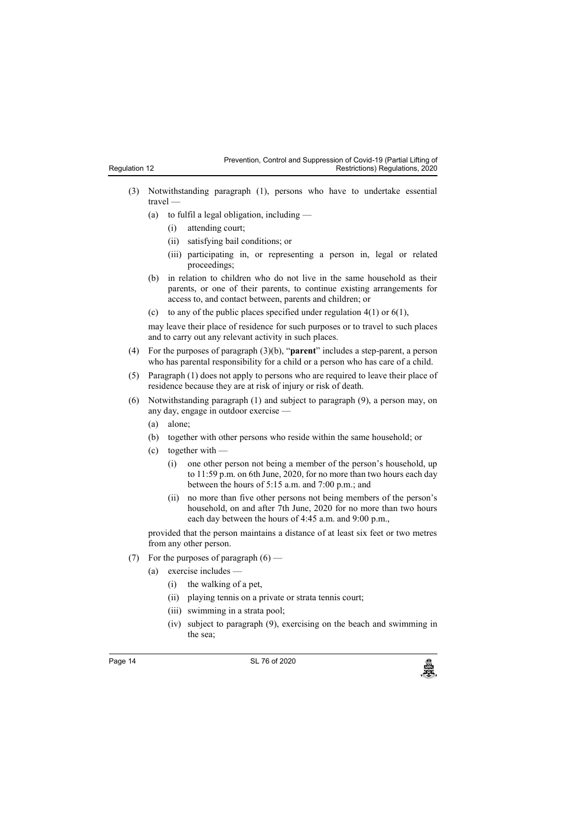| Regulation 12 |  |
|---------------|--|

- (3) Notwithstanding paragraph (1), persons who have to undertake essential travel —
	- (a) to fulfil a legal obligation, including
		- (i) attending court;
		- (ii) satisfying bail conditions; or
		- (iii) participating in, or representing a person in, legal or related proceedings;
	- (b) in relation to children who do not live in the same household as their parents, or one of their parents, to continue existing arrangements for access to, and contact between, parents and children; or
	- (c) to any of the public places specified under regulation  $4(1)$  or  $6(1)$ ,

may leave their place of residence for such purposes or to travel to such places and to carry out any relevant activity in such places.

- (4) For the purposes of paragraph (3)(b), "**parent**" includes a step-parent, a person who has parental responsibility for a child or a person who has care of a child.
- (5) Paragraph (1) does not apply to persons who are required to leave their place of residence because they are at risk of injury or risk of death.
- (6) Notwithstanding paragraph (1) and subject to paragraph (9), a person may, on any day, engage in outdoor exercise —
	- (a) alone;
	- (b) together with other persons who reside within the same household; or
	- (c) together with
		- (i) one other person not being a member of the person's household, up to 11:59 p.m. on 6th June, 2020, for no more than two hours each day between the hours of 5:15 a.m. and 7:00 p.m.; and
		- (ii) no more than five other persons not being members of the person's household, on and after 7th June, 2020 for no more than two hours each day between the hours of 4:45 a.m. and 9:00 p.m.,

provided that the person maintains a distance of at least six feet or two metres from any other person.

- (7) For the purposes of paragraph  $(6)$ 
	- (a) exercise includes
		- (i) the walking of a pet,
		- (ii) playing tennis on a private or strata tennis court;
		- (iii) swimming in a strata pool;
		- (iv) subject to paragraph (9), exercising on the beach and swimming in the sea;

Page 14 SL 76 of 2020<br>المجلس المستخدم المستخدم المستخدم المستخدم المستخدم المستخدم المستخدم المستخدم المستخدم المستخدم المستخدم المس<br>والمستخدم المستخدم المستخدم المستخدم المستخدم المستخدم المستخدم المستخدم المستخدم المستخ

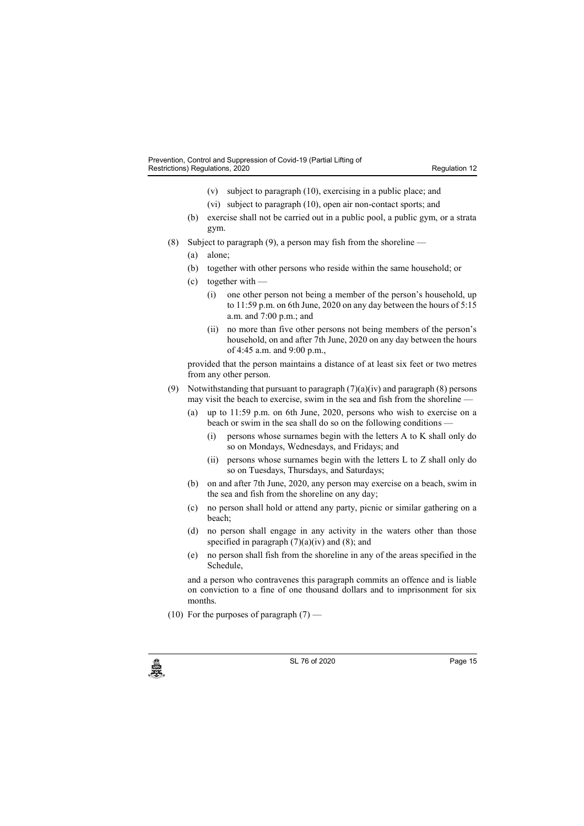- (v) subject to paragraph (10), exercising in a public place; and
- (vi) subject to paragraph (10), open air non-contact sports; and
- (b) exercise shall not be carried out in a public pool, a public gym, or a strata gym.
- (8) Subject to paragraph (9), a person may fish from the shoreline
	- (a) alone;
	- (b) together with other persons who reside within the same household; or
	- (c) together with
		- (i) one other person not being a member of the person's household, up to 11:59 p.m. on 6th June, 2020 on any day between the hours of 5:15 a.m. and 7:00 p.m.; and
		- (ii) no more than five other persons not being members of the person's household, on and after 7th June, 2020 on any day between the hours of 4:45 a.m. and 9:00 p.m.,

provided that the person maintains a distance of at least six feet or two metres from any other person.

- (9) Notwithstanding that pursuant to paragraph  $(7)(a)(iv)$  and paragraph  $(8)$  persons may visit the beach to exercise, swim in the sea and fish from the shoreline —
	- (a) up to 11:59 p.m. on 6th June, 2020, persons who wish to exercise on a beach or swim in the sea shall do so on the following conditions —
		- (i) persons whose surnames begin with the letters A to K shall only do so on Mondays, Wednesdays, and Fridays; and
		- (ii) persons whose surnames begin with the letters L to Z shall only do so on Tuesdays, Thursdays, and Saturdays;
	- (b) on and after 7th June, 2020, any person may exercise on a beach, swim in the sea and fish from the shoreline on any day;
	- (c) no person shall hold or attend any party, picnic or similar gathering on a beach;
	- (d) no person shall engage in any activity in the waters other than those specified in paragraph  $(7)(a)(iv)$  and  $(8)$ ; and
	- (e) no person shall fish from the shoreline in any of the areas specified in the Schedule,

and a person who contravenes this paragraph commits an offence and is liable on conviction to a fine of one thousand dollars and to imprisonment for six months.

(10) For the purposes of paragraph  $(7)$  —

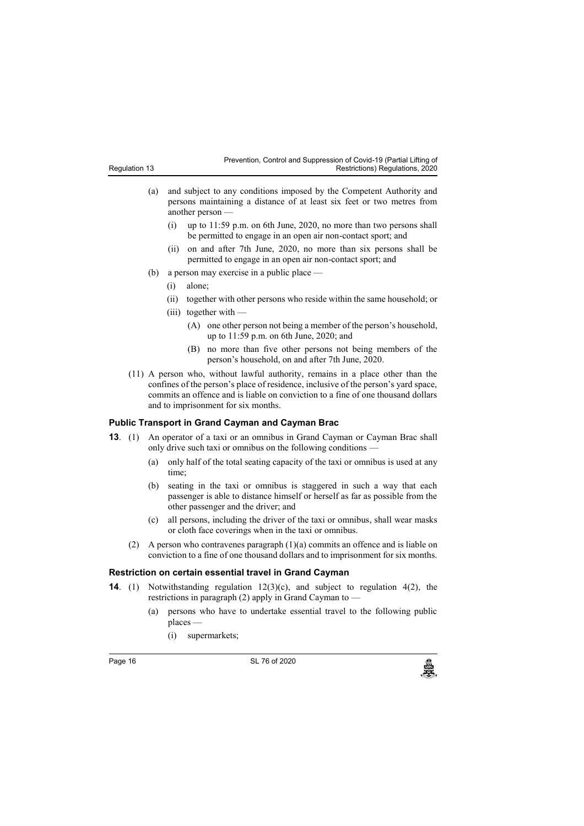| Regulation 13 |  |
|---------------|--|
|               |  |

- (a) and subject to any conditions imposed by the Competent Authority and persons maintaining a distance of at least six feet or two metres from another person —
	- (i) up to 11:59 p.m. on 6th June, 2020, no more than two persons shall be permitted to engage in an open air non-contact sport; and
	- (ii) on and after 7th June, 2020, no more than six persons shall be permitted to engage in an open air non-contact sport; and
- (b) a person may exercise in a public place
	- (i) alone;
	- (ii) together with other persons who reside within the same household; or
	- (iii) together with
		- (A) one other person not being a member of the person's household, up to 11:59 p.m. on 6th June, 2020; and
		- (B) no more than five other persons not being members of the person's household, on and after 7th June, 2020.
- (11) A person who, without lawful authority, remains in a place other than the confines of the person's place of residence, inclusive of the person's yard space, commits an offence and is liable on conviction to a fine of one thousand dollars and to imprisonment for six months.

#### **13. Public Transport in Grand Cayman and Cayman Brac**

- **13**. (1) An operator of a taxi or an omnibus in Grand Cayman or Cayman Brac shall only drive such taxi or omnibus on the following conditions —
	- (a) only half of the total seating capacity of the taxi or omnibus is used at any time;
	- (b) seating in the taxi or omnibus is staggered in such a way that each passenger is able to distance himself or herself as far as possible from the other passenger and the driver; and
	- (c) all persons, including the driver of the taxi or omnibus, shall wear masks or cloth face coverings when in the taxi or omnibus.
	- (2) A person who contravenes paragraph (1)(a) commits an offence and is liable on conviction to a fine of one thousand dollars and to imprisonment for six months.

#### **14. Restriction on certain essential travel in Grand Cayman**

- **14**. (1) Notwithstanding regulation 12(3)(c), and subject to regulation 4(2), the restrictions in paragraph (2) apply in Grand Cayman to —
	- (a) persons who have to undertake essential travel to the following public places —
		- (i) supermarkets;

Page 16 **SL 76 of 2020**<br>SL 76 of 2020<br>منابع المسلمات المسلمات المسلمات المسلمات المسلمات المسلمات المسلمات المسلمات المسلمات المسلمات المسلمات المسلم

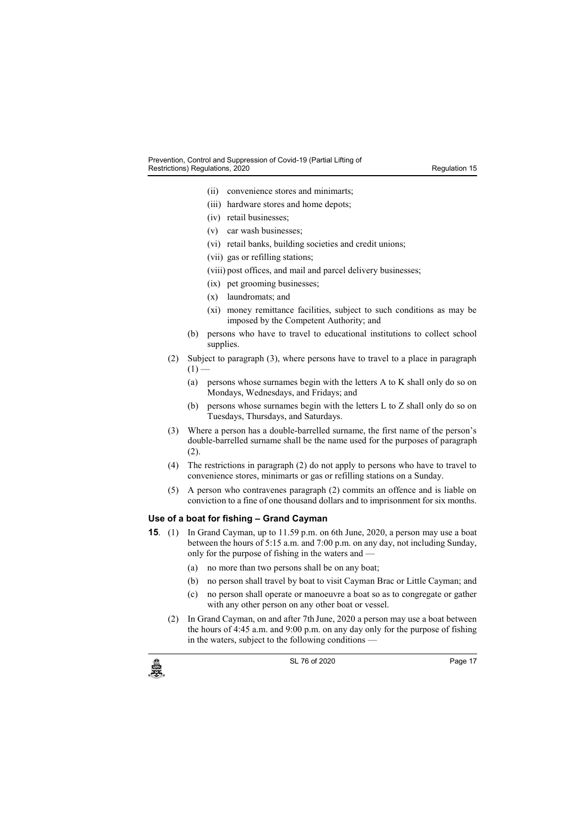- (ii) convenience stores and minimarts;
- (iii) hardware stores and home depots;
- (iv) retail businesses;
- (v) car wash businesses;
- (vi) retail banks, building societies and credit unions;
- (vii) gas or refilling stations;
- (viii) post offices, and mail and parcel delivery businesses;
- (ix) pet grooming businesses;
- (x) laundromats; and
- (xi) money remittance facilities, subject to such conditions as may be imposed by the Competent Authority; and
- (b) persons who have to travel to educational institutions to collect school supplies.
- (2) Subject to paragraph (3), where persons have to travel to a place in paragraph  $(1)$  –
	- (a) persons whose surnames begin with the letters A to K shall only do so on Mondays, Wednesdays, and Fridays; and
	- (b) persons whose surnames begin with the letters L to Z shall only do so on Tuesdays, Thursdays, and Saturdays.
- (3) Where a person has a double-barrelled surname, the first name of the person's double-barrelled surname shall be the name used for the purposes of paragraph (2).
- (4) The restrictions in paragraph (2) do not apply to persons who have to travel to convenience stores, minimarts or gas or refilling stations on a Sunday.
- (5) A person who contravenes paragraph (2) commits an offence and is liable on conviction to a fine of one thousand dollars and to imprisonment for six months.

#### **15. Use of a boat for fishing – Grand Cayman**

- **15**. (1) In Grand Cayman, up to 11.59 p.m. on 6th June, 2020, a person may use a boat between the hours of 5:15 a.m. and 7:00 p.m. on any day, not including Sunday, only for the purpose of fishing in the waters and —
	- (a) no more than two persons shall be on any boat;
	- (b) no person shall travel by boat to visit Cayman Brac or Little Cayman; and
	- (c) no person shall operate or manoeuvre a boat so as to congregate or gather with any other person on any other boat or vessel.
	- (2) In Grand Cayman, on and after 7th June, 2020 a person may use a boat between the hours of 4:45 a.m. and 9:00 p.m. on any day only for the purpose of fishing in the waters, subject to the following conditions —



c SL 76 of 2020<br>
SL 76 of 2020<br>
Page 17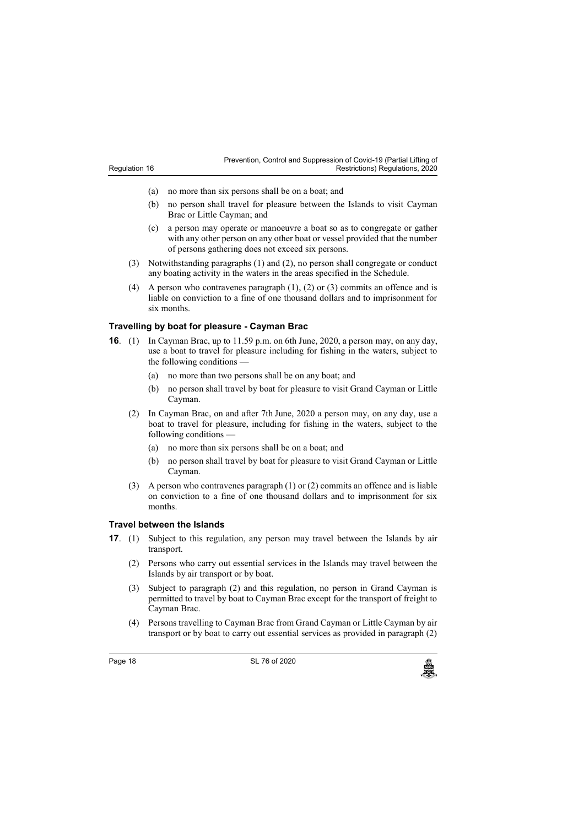- (a) no more than six persons shall be on a boat; and
- (b) no person shall travel for pleasure between the Islands to visit Cayman Brac or Little Cayman; and
- (c) a person may operate or manoeuvre a boat so as to congregate or gather with any other person on any other boat or vessel provided that the number of persons gathering does not exceed six persons.
- (3) Notwithstanding paragraphs (1) and (2), no person shall congregate or conduct any boating activity in the waters in the areas specified in the Schedule.
- (4) A person who contravenes paragraph (1), (2) or (3) commits an offence and is liable on conviction to a fine of one thousand dollars and to imprisonment for six months.

### **16. Travelling by boat for pleasure - Cayman Brac**

- **16**. (1) In Cayman Brac, up to 11.59 p.m. on 6th June, 2020, a person may, on any day, use a boat to travel for pleasure including for fishing in the waters, subject to the following conditions
	- (a) no more than two persons shall be on any boat; and
	- (b) no person shall travel by boat for pleasure to visit Grand Cayman or Little Cayman.
	- (2) In Cayman Brac, on and after 7th June, 2020 a person may, on any day, use a boat to travel for pleasure, including for fishing in the waters, subject to the following conditions —
		- (a) no more than six persons shall be on a boat; and
		- (b) no person shall travel by boat for pleasure to visit Grand Cayman or Little Cayman.
	- (3) A person who contravenes paragraph (1) or (2) commits an offence and is liable on conviction to a fine of one thousand dollars and to imprisonment for six months.

## **17. Travel between the Islands**

- **17**. (1) Subject to this regulation, any person may travel between the Islands by air transport.
	- (2) Persons who carry out essential services in the Islands may travel between the Islands by air transport or by boat.
	- (3) Subject to paragraph (2) and this regulation, no person in Grand Cayman is permitted to travel by boat to Cayman Brac except for the transport of freight to Cayman Brac.
	- (4) Persons travelling to Cayman Brac from Grand Cayman or Little Cayman by air transport or by boat to carry out essential services as provided in paragraph (2)

Page 18 **SL 76 of 2020**<br>SL 76 of 2020<br>منابع المسلمات المسلمات المسلمات المسلمات المسلمات المسلمات المسلمات المسلمات المسلمات المسلمات المسلمات المسلم

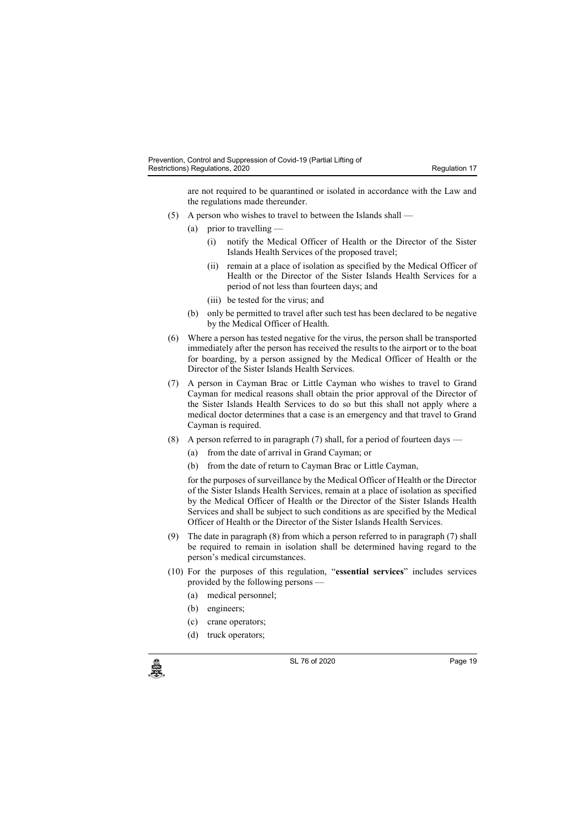are not required to be quarantined or isolated in accordance with the Law and the regulations made thereunder.

- (5) A person who wishes to travel to between the Islands shall
	- (a) prior to travelling
		- (i) notify the Medical Officer of Health or the Director of the Sister Islands Health Services of the proposed travel;
		- (ii) remain at a place of isolation as specified by the Medical Officer of Health or the Director of the Sister Islands Health Services for a period of not less than fourteen days; and
		- (iii) be tested for the virus; and
	- (b) only be permitted to travel after such test has been declared to be negative by the Medical Officer of Health.
- (6) Where a person has tested negative for the virus, the person shall be transported immediately after the person has received the results to the airport or to the boat for boarding, by a person assigned by the Medical Officer of Health or the Director of the Sister Islands Health Services.
- (7) A person in Cayman Brac or Little Cayman who wishes to travel to Grand Cayman for medical reasons shall obtain the prior approval of the Director of the Sister Islands Health Services to do so but this shall not apply where a medical doctor determines that a case is an emergency and that travel to Grand Cayman is required.
- (8) A person referred to in paragraph (7) shall, for a period of fourteen days
	- (a) from the date of arrival in Grand Cayman; or
	- (b) from the date of return to Cayman Brac or Little Cayman,

for the purposes of surveillance by the Medical Officer of Health or the Director of the Sister Islands Health Services, remain at a place of isolation as specified by the Medical Officer of Health or the Director of the Sister Islands Health Services and shall be subject to such conditions as are specified by the Medical Officer of Health or the Director of the Sister Islands Health Services.

- (9) The date in paragraph (8) from which a person referred to in paragraph (7) shall be required to remain in isolation shall be determined having regard to the person's medical circumstances.
- (10) For the purposes of this regulation, "**essential services**" includes services provided by the following persons —
	- (a) medical personnel;
	- (b) engineers;
	- (c) crane operators;
	- (d) truck operators;

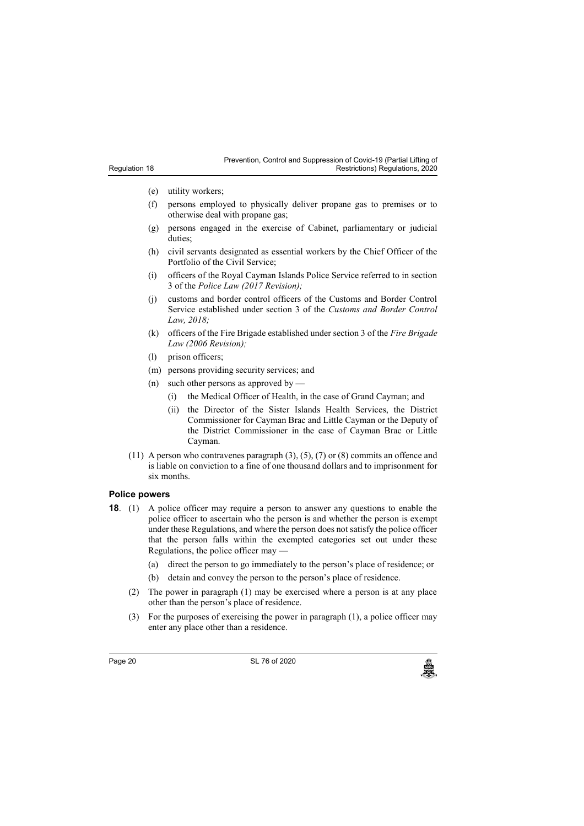- (e) utility workers;
- (f) persons employed to physically deliver propane gas to premises or to otherwise deal with propane gas;
- (g) persons engaged in the exercise of Cabinet, parliamentary or judicial duties;
- (h) civil servants designated as essential workers by the Chief Officer of the Portfolio of the Civil Service;
- (i) officers of the Royal Cayman Islands Police Service referred to in section 3 of the *Police Law (2017 Revision);*
- (j) customs and border control officers of the Customs and Border Control Service established under section 3 of the *Customs and Border Control Law, 2018;*
- (k) officers of the Fire Brigade established under section 3 of the *Fire Brigade Law (2006 Revision);*
- (l) prison officers;
- (m) persons providing security services; and
- (n) such other persons as approved by
	- (i) the Medical Officer of Health, in the case of Grand Cayman; and
	- (ii) the Director of the Sister Islands Health Services, the District Commissioner for Cayman Brac and Little Cayman or the Deputy of the District Commissioner in the case of Cayman Brac or Little Cayman.
- (11) A person who contravenes paragraph  $(3)$ ,  $(5)$ ,  $(7)$  or  $(8)$  commits an offence and is liable on conviction to a fine of one thousand dollars and to imprisonment for six months.

#### **18. Police powers**

- **18**. (1) A police officer may require a person to answer any questions to enable the police officer to ascertain who the person is and whether the person is exempt under these Regulations, and where the person does not satisfy the police officer that the person falls within the exempted categories set out under these Regulations, the police officer may —
	- (a) direct the person to go immediately to the person's place of residence; or
	- (b) detain and convey the person to the person's place of residence.
	- (2) The power in paragraph (1) may be exercised where a person is at any place other than the person's place of residence.
	- (3) For the purposes of exercising the power in paragraph (1), a police officer may enter any place other than a residence.

Page 20 SL 76 of 2020<br>المجلس المستخدم المستخدم المستخدم المستخدم المستخدم المستخدم المستخدم المستخدم المستخدم المستخدم المستخدم المس<br>والمستخدم المستخدم المستخدم المستخدم المستخدم المستخدم المستخدم المستخدم المستخدم المستخ

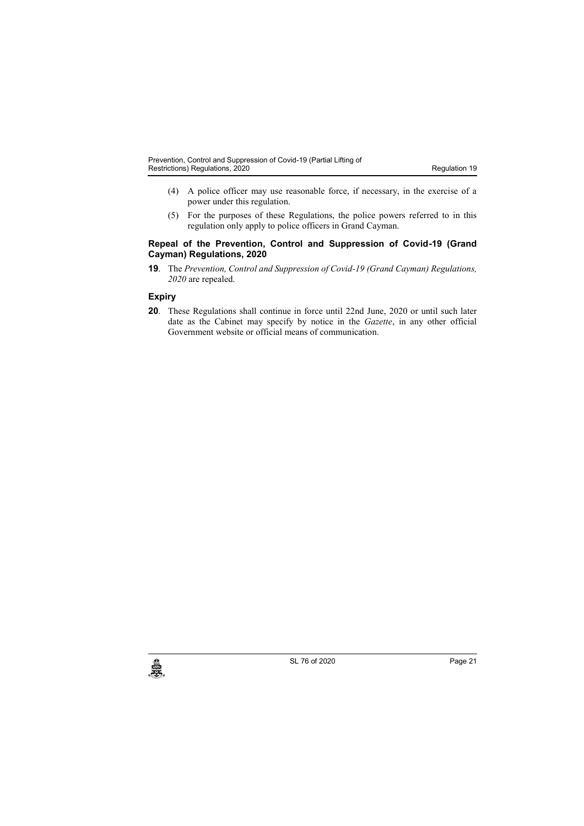- (4) A police officer may use reasonable force, if necessary, in the exercise of a power under this regulation.
- (5) For the purposes of these Regulations, the police powers referred to in this regulation only apply to police officers in Grand Cayman.

#### **19. Repeal of the Prevention, Control and Suppression of Covid-19 (Grand Cayman) Regulations, 2020**

**19**. The *Prevention, Control and Suppression of Covid-19 (Grand Cayman) Regulations, 2020* are repealed.

## **Expiry**

**20**. These Regulations shall continue in force until 22nd June, 2020 or until such later date as the Cabinet may specify by notice in the *Gazette*, in any other official Government website or official means of communication.



SL 76 of 2020 Page 21